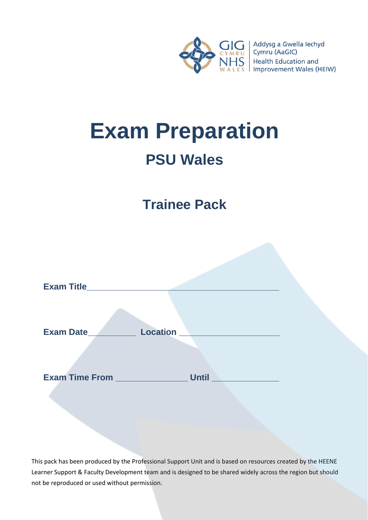

# **Exam Preparation PSU Wales**

# **Trainee Pack**

| <b>Exam Title</b>     |                 |
|-----------------------|-----------------|
| Exam Date_            | <b>Location</b> |
| <b>Exam Time From</b> | <b>Until</b>    |

This pack has been produced by the Professional Support Unit and is based on resources created by the HEENE Learner Support & Faculty Development team and is designed to be shared widely across the region but should not be reproduced or used without permission.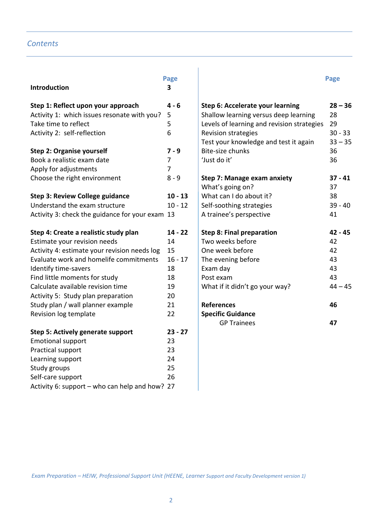# *Contents*

| <b>Introduction</b>                             | Page<br>3      |                                            | Page      |
|-------------------------------------------------|----------------|--------------------------------------------|-----------|
| Step 1: Reflect upon your approach              | $4 - 6$        | Step 6: Accelerate your learning           | $28 - 36$ |
| Activity 1: which issues resonate with you?     | 5              | Shallow learning versus deep learning      | 28        |
| Take time to reflect                            | 5              | Levels of learning and revision strategies | 29        |
| Activity 2: self-reflection                     | 6              | <b>Revision strategies</b>                 | $30 - 33$ |
|                                                 |                | Test your knowledge and test it again      | $33 - 35$ |
| <b>Step 2: Organise yourself</b>                | $7 - 9$        | <b>Bite-size chunks</b>                    | 36        |
| Book a realistic exam date                      | $\overline{7}$ | 'Just do it'                               | 36        |
| Apply for adjustments                           | $\overline{7}$ |                                            |           |
| Choose the right environment                    | $8 - 9$        | <b>Step 7: Manage exam anxiety</b>         | $37 - 41$ |
|                                                 |                | What's going on?                           | 37        |
| <b>Step 3: Review College guidance</b>          | $10 - 13$      | What can I do about it?                    | 38        |
| Understand the exam structure                   | $10 - 12$      | Self-soothing strategies                   | $39 - 40$ |
| Activity 3: check the guidance for your exam 13 |                | A trainee's perspective                    | 41        |
| Step 4: Create a realistic study plan           | $14 - 22$      | <b>Step 8: Final preparation</b>           | $42 - 45$ |
| Estimate your revision needs                    | 14             | Two weeks before                           | 42        |
| Activity 4: estimate your revision needs log    | 15             | One week before                            | 42        |
| Evaluate work and homelife commitments          | $16 - 17$      | The evening before                         | 43        |
| Identify time-savers                            | 18             | Exam day                                   | 43        |
| Find little moments for study                   | 18             | Post exam                                  | 43        |
| Calculate available revision time               | 19             | What if it didn't go your way?             | $44 - 45$ |
| Activity 5: Study plan preparation              | 20             |                                            |           |
| Study plan / wall planner example               | 21             | <b>References</b>                          | 46        |
| Revision log template                           | 22             | <b>Specific Guidance</b>                   |           |
|                                                 |                | <b>GP Trainees</b>                         | 47        |
| <b>Step 5: Actively generate support</b>        | $23 - 27$      |                                            |           |
| <b>Emotional support</b>                        | 23             |                                            |           |
| Practical support                               | 23             |                                            |           |
| Learning support                                | 24             |                                            |           |
| Study groups                                    | 25             |                                            |           |
| Self-care support                               | 26             |                                            |           |
| Activity 6: support - who can help and how? 27  |                |                                            |           |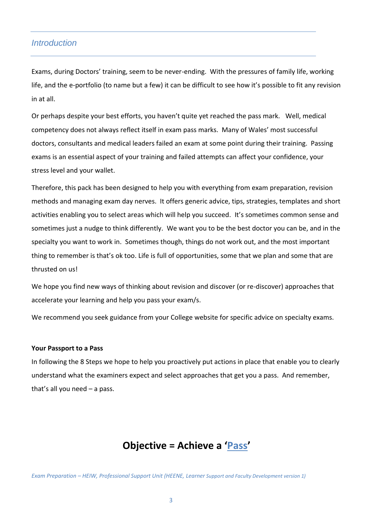# *Introduction*

Exams, during Doctors' training, seem to be never-ending. With the pressures of family life, working life, and the e-portfolio (to name but a few) it can be difficult to see how it's possible to fit any revision in at all.

Or perhaps despite your best efforts, you haven't quite yet reached the pass mark. Well, medical competency does not always reflect itself in exam pass marks. Many of Wales' most successful doctors, consultants and medical leaders failed an exam at some point during their training. Passing exams is an essential aspect of your training and failed attempts can affect your confidence, your stress level and your wallet.

Therefore, this pack has been designed to help you with everything from exam preparation, revision methods and managing exam day nerves. It offers generic advice, tips, strategies, templates and short activities enabling you to select areas which will help you succeed. It's sometimes common sense and sometimes just a nudge to think differently. We want you to be the best doctor you can be, and in the specialty you want to work in. Sometimes though, things do not work out, and the most important thing to remember is that's ok too. Life is full of opportunities, some that we plan and some that are thrusted on us!

We hope you find new ways of thinking about revision and discover (or re-discover) approaches that accelerate your learning and help you pass your exam/s.

We recommend you seek guidance from your College website for specific advice on specialty exams.

#### **Your Passport to a Pass**

In following the 8 Steps we hope to help you proactively put actions in place that enable you to clearly understand what the examiners expect and select approaches that get you a pass. And remember, that's all you need – a pass.

# **Objective = Achieve a 'Pass'**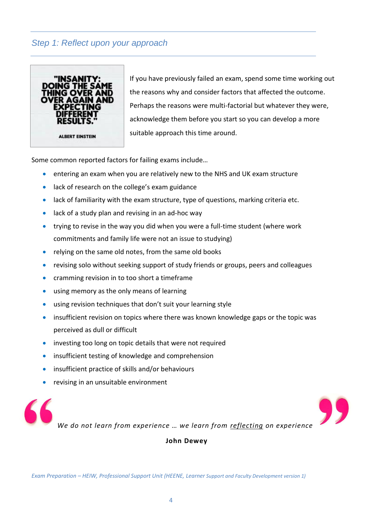# *Step 1: Reflect upon your approach*



If you have previously failed an exam, spend some time working out the reasons why and consider factors that affected the outcome. Perhaps the reasons were multi-factorial but whatever they were, acknowledge them before you start so you can develop a more suitable approach this time around.

Some common reported factors for failing exams include…

- entering an exam when you are relatively new to the NHS and UK exam structure
- lack of research on the college's exam guidance
- lack of familiarity with the exam structure, type of questions, marking criteria etc.
- lack of a study plan and revising in an ad-hoc way
- trying to revise in the way you did when you were a full-time student (where work commitments and family life were not an issue to studying)
- relying on the same old notes, from the same old books
- revising solo without seeking support of study friends or groups, peers and colleagues
- cramming revision in to too short a timeframe
- using memory as the only means of learning
- using revision techniques that don't suit your learning style
- insufficient revision on topics where there was known knowledge gaps or the topic was perceived as dull or difficult
- investing too long on topic details that were not required
- insufficient testing of knowledge and comprehension
- insufficient practice of skills and/or behaviours
- revising in an unsuitable environment



**John Dewey**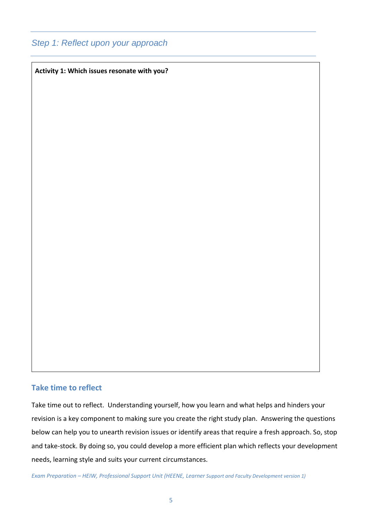# *Step 1: Reflect upon your approach*

**Activity 1: Which issues resonate with you?**

## **Take time to reflect**

Take time out to reflect. Understanding yourself, how you learn and what helps and hinders your revision is a key component to making sure you create the right study plan. Answering the questions below can help you to unearth revision issues or identify areas that require a fresh approach. So, stop and take-stock. By doing so, you could develop a more efficient plan which reflects your development needs, learning style and suits your current circumstances.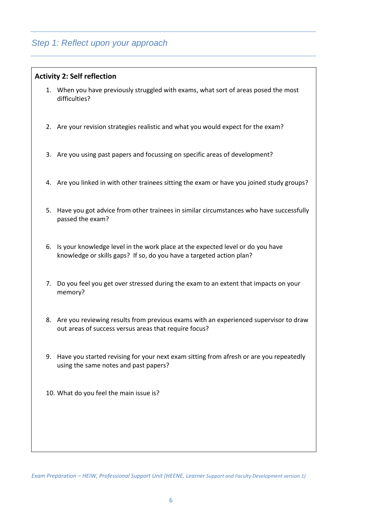# *Step 1: Reflect upon your approach*

## **Activity 2: Self reflection**

- 1. When you have previously struggled with exams, what sort of areas posed the most difficulties?
- 2. Are your revision strategies realistic and what you would expect for the exam?
- 3. Are you using past papers and focussing on specific areas of development?
- 4. Are you linked in with other trainees sitting the exam or have you joined study groups?
- 5. Have you got advice from other trainees in similar circumstances who have successfully passed the exam?
- 6. Is your knowledge level in the work place at the expected level or do you have knowledge or skills gaps? If so, do you have a targeted action plan?
- 7. Do you feel you get over stressed during the exam to an extent that impacts on your memory?
- 8. Are you reviewing results from previous exams with an experienced supervisor to draw out areas of success versus areas that require focus?
- 9. Have you started revising for your next exam sitting from afresh or are you repeatedly using the same notes and past papers?
- 10. What do you feel the main issue is?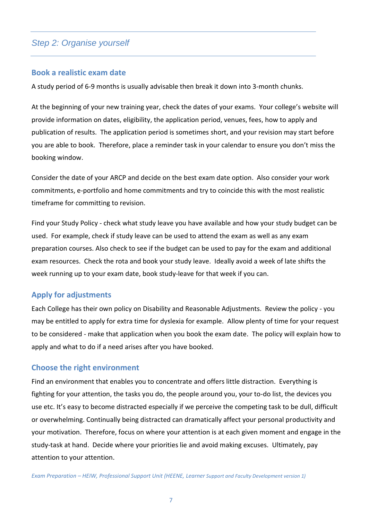# *Step 2: Organise yourself*

#### **Book a realistic exam date**

A study period of 6-9 months is usually advisable then break it down into 3-month chunks.

At the beginning of your new training year, check the dates of your exams. Your college's website will provide information on dates, eligibility, the application period, venues, fees, how to apply and publication of results. The application period is sometimes short, and your revision may start before you are able to book. Therefore, place a reminder task in your calendar to ensure you don't miss the booking window.

Consider the date of your ARCP and decide on the best exam date option. Also consider your work commitments, e-portfolio and home commitments and try to coincide this with the most realistic timeframe for committing to revision.

Find your Study Policy - check what study leave you have available and how your study budget can be used. For example, check if study leave can be used to attend the exam as well as any exam preparation courses. Also check to see if the budget can be used to pay for the exam and additional exam resources. Check the rota and book your study leave. Ideally avoid a week of late shifts the week running up to your exam date, book study-leave for that week if you can.

## **Apply for adjustments**

Each College has their own policy on Disability and Reasonable Adjustments. Review the policy - you may be entitled to apply for extra time for dyslexia for example. Allow plenty of time for your request to be considered - make that application when you book the exam date. The policy will explain how to apply and what to do if a need arises after you have booked.

## **Choose the right environment**

Find an environment that enables you to concentrate and offers little distraction. Everything is fighting for your attention, the tasks you do, the people around you, your to-do list, the devices you use etc. It's easy to become distracted especially if we perceive the competing task to be dull, difficult or overwhelming. Continually being distracted can dramatically affect your personal productivity and your motivation. Therefore, focus on where your attention is at each given moment and engage in the study-task at hand. Decide where your priorities lie and avoid making excuses. Ultimately, pay attention to your attention.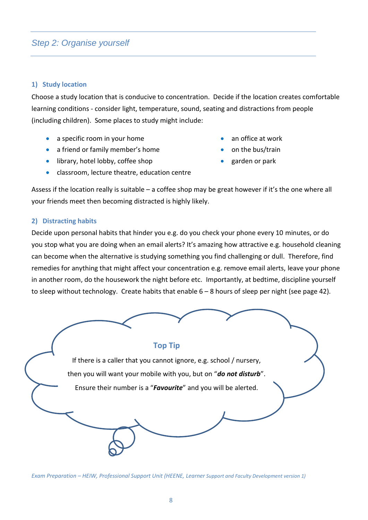# *Step 2: Organise yourself*

#### **1) Study location**

Choose a study location that is conducive to concentration. Decide if the location creates comfortable learning conditions - consider light, temperature, sound, seating and distractions from people (including children). Some places to study might include:

- a specific room in your home an office at work
- a friend or family member's home on the bus/train
- library, hotel lobby, coffee shop garden or park
- classroom, lecture theatre, education centre
- 
- 
- 

Assess if the location really is suitable – a coffee shop may be great however if it's the one where all your friends meet then becoming distracted is highly likely.

## **2) Distracting habits**

Decide upon personal habits that hinder you e.g. do you check your phone every 10 minutes, or do you stop what you are doing when an email alerts? It's amazing how attractive e.g. household cleaning can become when the alternative is studying something you find challenging or dull. Therefore, find remedies for anything that might affect your concentration e.g. remove email alerts, leave your phone in another room, do the housework the night before etc. Importantly, at bedtime, discipline yourself to sleep without technology. Create habits that enable 6 – 8 hours of sleep per night (see page 42).

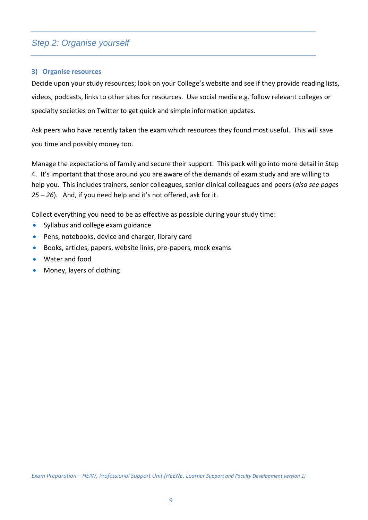# *Step 2: Organise yourself*

#### **3) Organise resources**

Decide upon your study resources; look on your College's website and see if they provide reading lists, videos, podcasts, links to other sites for resources. Use social media e.g. follow relevant colleges or specialty societies on Twitter to get quick and simple information updates.

Ask peers who have recently taken the exam which resources they found most useful. This will save you time and possibly money too.

Manage the expectations of family and secure their support. This pack will go into more detail in Step 4. It's important that those around you are aware of the demands of exam study and are willing to help you. This includes trainers, senior colleagues, senior clinical colleagues and peers (*also see pages 25 – 26*). And, if you need help and it's not offered, ask for it.

Collect everything you need to be as effective as possible during your study time:

- Syllabus and college exam guidance
- Pens, notebooks, device and charger, library card
- Books, articles, papers, website links, pre-papers, mock exams
- Water and food
- Money, layers of clothing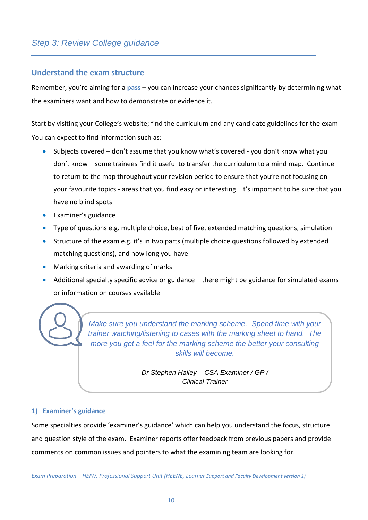## **Understand the exam structure**

Remember, you're aiming for a **pass** – you can increase your chances significantly by determining what the examiners want and how to demonstrate or evidence it.

Start by visiting your College's website; find the curriculum and any candidate guidelines for the exam You can expect to find information such as:

- Subjects covered don't assume that you know what's covered you don't know what you don't know – some trainees find it useful to transfer the curriculum to a mind map. Continue to return to the map throughout your revision period to ensure that you're not focusing on your favourite topics - areas that you find easy or interesting. It's important to be sure that you have no blind spots
- Examiner's guidance
- Type of questions e.g. multiple choice, best of five, extended matching questions, simulation
- Structure of the exam e.g. it's in two parts (multiple choice questions followed by extended matching questions), and how long you have
- Marking criteria and awarding of marks
- Additional specialty specific advice or guidance there might be guidance for simulated exams or information on courses available

*Make sure you understand the marking scheme. Spend time with your trainer watching/listening to cases with the marking sheet to hand. The more you get a feel for the marking scheme the better your consulting skills will become.*

> *Dr Stephen Hailey – CSA Examiner / GP / Clinical Trainer*

#### **1) Examiner's guidance**

Some specialties provide 'examiner's guidance' which can help you understand the focus, structure and question style of the exam. Examiner reports offer feedback from previous papers and provide comments on common issues and pointers to what the examining team are looking for.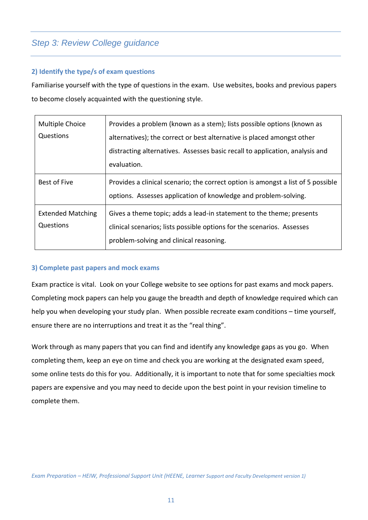## **2) Identify the type/s of exam questions**

Familiarise yourself with the type of questions in the exam. Use websites, books and previous papers to become closely acquainted with the questioning style.

| Multiple Choice<br>Questions          | Provides a problem (known as a stem); lists possible options (known as<br>alternatives); the correct or best alternative is placed amongst other<br>distracting alternatives. Assesses basic recall to application, analysis and<br>evaluation. |
|---------------------------------------|-------------------------------------------------------------------------------------------------------------------------------------------------------------------------------------------------------------------------------------------------|
| Best of Five                          | Provides a clinical scenario; the correct option is amongst a list of 5 possible<br>options. Assesses application of knowledge and problem-solving.                                                                                             |
| <b>Extended Matching</b><br>Questions | Gives a theme topic; adds a lead-in statement to the theme; presents<br>clinical scenarios; lists possible options for the scenarios. Assesses<br>problem-solving and clinical reasoning.                                                       |

## **3) Complete past papers and mock exams**

Exam practice is vital. Look on your College website to see options for past exams and mock papers. Completing mock papers can help you gauge the breadth and depth of knowledge required which can help you when developing your study plan. When possible recreate exam conditions – time yourself, ensure there are no interruptions and treat it as the "real thing".

Work through as many papers that you can find and identify any knowledge gaps as you go. When completing them, keep an eye on time and check you are working at the designated exam speed, some online tests do this for you. Additionally, it is important to note that for some specialties mock papers are expensive and you may need to decide upon the best point in your revision timeline to complete them.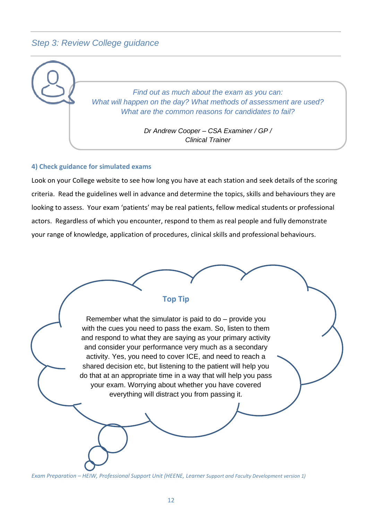

#### **4) Check guidance for simulated exams**

Look on your College website to see how long you have at each station and seek details of the scoring criteria. Read the guidelines well in advance and determine the topics, skills and behaviours they are looking to assess. Your exam 'patients' may be real patients, fellow medical students or professional actors. Regardless of which you encounter, respond to them as real people and fully demonstrate your range of knowledge, application of procedures, clinical skills and professional behaviours.

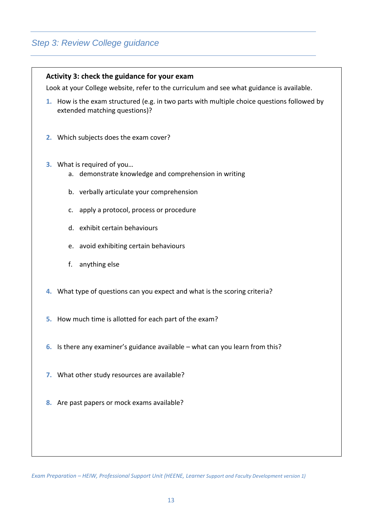|                                                                                           | Activity 3: check the guidance for your exam                                                                                 |  |  |  |  |
|-------------------------------------------------------------------------------------------|------------------------------------------------------------------------------------------------------------------------------|--|--|--|--|
| Look at your College website, refer to the curriculum and see what guidance is available. |                                                                                                                              |  |  |  |  |
|                                                                                           | 1. How is the exam structured (e.g. in two parts with multiple choice questions followed by<br>extended matching questions)? |  |  |  |  |
|                                                                                           | 2. Which subjects does the exam cover?                                                                                       |  |  |  |  |
|                                                                                           | 3. What is required of you<br>a. demonstrate knowledge and comprehension in writing                                          |  |  |  |  |
|                                                                                           | b. verbally articulate your comprehension                                                                                    |  |  |  |  |
|                                                                                           | c. apply a protocol, process or procedure                                                                                    |  |  |  |  |
|                                                                                           | d. exhibit certain behaviours                                                                                                |  |  |  |  |
|                                                                                           | e. avoid exhibiting certain behaviours                                                                                       |  |  |  |  |
|                                                                                           | f.<br>anything else                                                                                                          |  |  |  |  |
|                                                                                           | 4. What type of questions can you expect and what is the scoring criteria?                                                   |  |  |  |  |
|                                                                                           | 5. How much time is allotted for each part of the exam?                                                                      |  |  |  |  |
|                                                                                           | 6. Is there any examiner's guidance available $-$ what can you learn from this?                                              |  |  |  |  |
|                                                                                           | 7. What other study resources are available?                                                                                 |  |  |  |  |
|                                                                                           | 8. Are past papers or mock exams available?                                                                                  |  |  |  |  |
|                                                                                           |                                                                                                                              |  |  |  |  |
|                                                                                           |                                                                                                                              |  |  |  |  |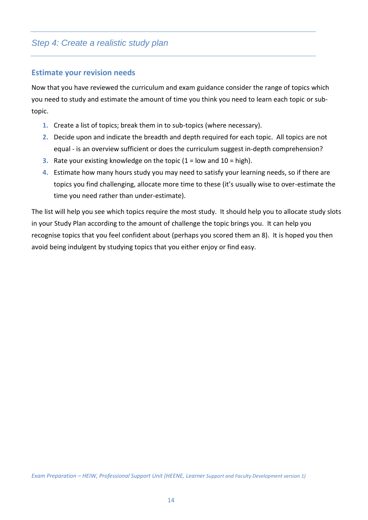# **Estimate your revision needs**

Now that you have reviewed the curriculum and exam guidance consider the range of topics which you need to study and estimate the amount of time you think you need to learn each topic or subtopic.

- **1.** Create a list of topics; break them in to sub-topics (where necessary).
- **2.** Decide upon and indicate the breadth and depth required for each topic. All topics are not equal - is an overview sufficient or does the curriculum suggest in-depth comprehension?
- **3.** Rate your existing knowledge on the topic (1 = low and 10 = high).
- **4.** Estimate how many hours study you may need to satisfy your learning needs, so if there are topics you find challenging, allocate more time to these (it's usually wise to over-estimate the time you need rather than under-estimate).

The list will help you see which topics require the most study. It should help you to allocate study slots in your Study Plan according to the amount of challenge the topic brings you. It can help you recognise topics that you feel confident about (perhaps you scored them an 8). It is hoped you then avoid being indulgent by studying topics that you either enjoy or find easy.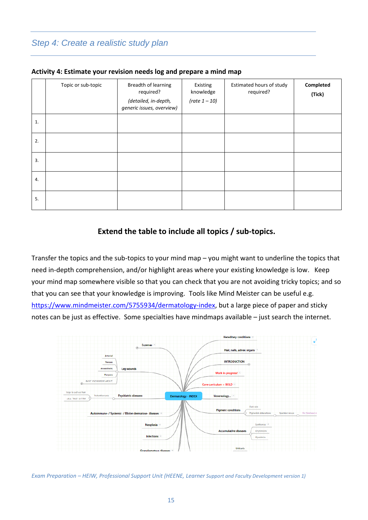|    | Topic or sub-topic | Breadth of learning<br>required?<br>(detailed, in-depth,<br>generic issues, overview) | Existing<br>knowledge<br>(rate $1 - 10$ ) | Estimated hours of study<br>required? | Completed<br>(Tick) |
|----|--------------------|---------------------------------------------------------------------------------------|-------------------------------------------|---------------------------------------|---------------------|
| 1. |                    |                                                                                       |                                           |                                       |                     |
| 2. |                    |                                                                                       |                                           |                                       |                     |
| 3. |                    |                                                                                       |                                           |                                       |                     |
| 4. |                    |                                                                                       |                                           |                                       |                     |
| 5. |                    |                                                                                       |                                           |                                       |                     |

#### **Activity 4: Estimate your revision needs log and prepare a mind map**

#### **Extend the table to include all topics / sub-topics.**

Transfer the topics and the sub-topics to your mind map – you might want to underline the topics that need in-depth comprehension, and/or highlight areas where your existing knowledge is low. Keep your mind map somewhere visible so that you can check that you are not avoiding tricky topics; and so that you can see that your knowledge is improving. Tools like Mind Meister can be useful e.g. [https://www.mindmeister.com/5755934/dermatology-index,](https://www.mindmeister.com/5755934/dermatology-index) but a large piece of paper and sticky notes can be just as effective. Some specialties have mindmaps available – just search the internet.

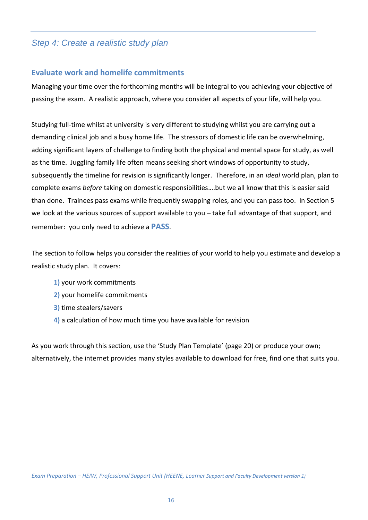## **Evaluate work and homelife commitments**

Managing your time over the forthcoming months will be integral to you achieving your objective of passing the exam. A realistic approach, where you consider all aspects of your life, will help you.

Studying full-time whilst at university is very different to studying whilst you are carrying out a demanding clinical job and a busy home life. The stressors of domestic life can be overwhelming, adding significant layers of challenge to finding both the physical and mental space for study, as well as the time. Juggling family life often means seeking short windows of opportunity to study, subsequently the timeline for revision is significantly longer. Therefore, in an *ideal* world plan, plan to complete exams *before* taking on domestic responsibilities….but we all know that this is easier said than done. Trainees pass exams while frequently swapping roles, and you can pass too. In Section 5 we look at the various sources of support available to you – take full advantage of that support, and remember: you only need to achieve a **PASS**.

The section to follow helps you consider the realities of your world to help you estimate and develop a realistic study plan. It covers:

- **1)** your work commitments
- **2)** your homelife commitments
- **3)** time stealers/savers
- **4)** a calculation of how much time you have available for revision

As you work through this section, use the 'Study Plan Template' (page 20) or produce your own; alternatively, the internet provides many styles available to download for free, find one that suits you.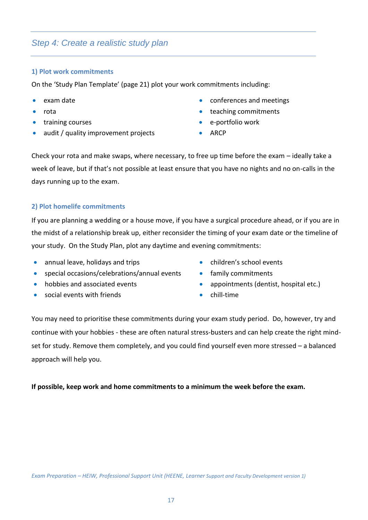#### **1) Plot work commitments**

On the 'Study Plan Template' (page 21) plot your work commitments including:

- 
- 
- 
- audit / quality improvement projects ARCP
- exam date  **conferences** and meetings
- rota teaching commitments
- training courses e-portfolio work
	-

Check your rota and make swaps, where necessary, to free up time before the exam – ideally take a week of leave, but if that's not possible at least ensure that you have no nights and no on-calls in the days running up to the exam.

#### **2) Plot homelife commitments**

If you are planning a wedding or a house move, if you have a surgical procedure ahead, or if you are in the midst of a relationship break up, either reconsider the timing of your exam date or the timeline of your study. On the Study Plan, plot any daytime and evening commitments:

- annual leave, holidays and trips **•** children's school events
- special occasions/celebrations/annual events family commitments
- 
- social events with friends chill-time
- 
- 
- hobbies and associated events appointments (dentist, hospital etc.)
	-

You may need to prioritise these commitments during your exam study period. Do, however, try and continue with your hobbies - these are often natural stress-busters and can help create the right mindset for study. Remove them completely, and you could find yourself even more stressed – a balanced approach will help you.

#### **If possible, keep work and home commitments to a minimum the week before the exam.**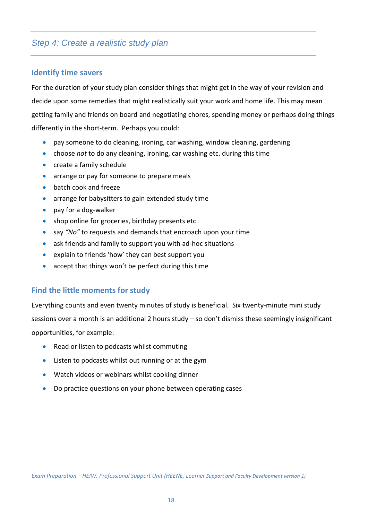# **Identify time savers**

For the duration of your study plan consider things that might get in the way of your revision and decide upon some remedies that might realistically suit your work and home life. This may mean getting family and friends on board and negotiating chores, spending money or perhaps doing things differently in the short-term. Perhaps you could:

- pay someone to do cleaning, ironing, car washing, window cleaning, gardening
- choose *not* to do any cleaning, ironing, car washing etc. during this time
- create a family schedule
- arrange or pay for someone to prepare meals
- batch cook and freeze
- arrange for babysitters to gain extended study time
- pay for a dog-walker
- shop online for groceries, birthday presents etc.
- say *"No"* to requests and demands that encroach upon your time
- ask friends and family to support you with ad-hoc situations
- explain to friends 'how' they can best support you
- accept that things won't be perfect during this time

## **Find the little moments for study**

Everything counts and even twenty minutes of study is beneficial. Six twenty-minute mini study sessions over a month is an additional 2 hours study – so don't dismiss these seemingly insignificant opportunities, for example:

- Read or listen to podcasts whilst commuting
- Listen to podcasts whilst out running or at the gym
- Watch videos or webinars whilst cooking dinner
- Do practice questions on your phone between operating cases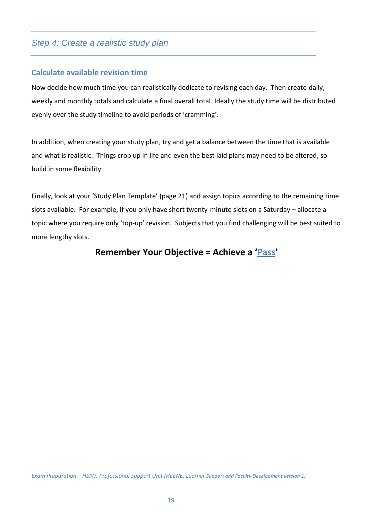# **Calculate available revision time**

Now decide how much time you can realistically dedicate to revising each day. Then create daily, weekly and monthly totals and calculate a final overall total. Ideally the study time will be distributed evenly over the study timeline to avoid periods of 'cramming'.

In addition, when creating your study plan, try and get a balance between the time that is available and what is realistic. Things crop up in life and even the best laid plans may need to be altered, so build in some flexibility.

Finally, look at your 'Study Plan Template' (page 21) and assign topics according to the remaining time slots available. For example, if you only have short twenty-minute slots on a Saturday – allocate a topic where you require only 'top-up' revision. Subjects that you find challenging will be best suited to more lengthy slots.

# **Remember Your Objective = Achieve a 'Pass'**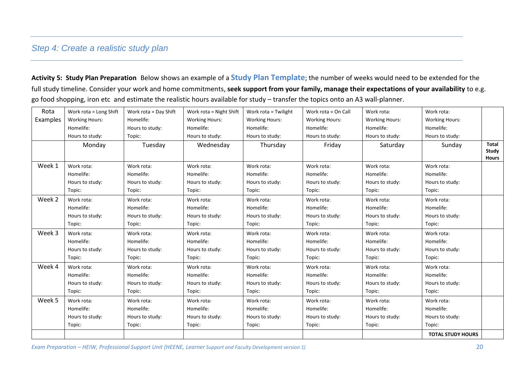**Activity 5: Study Plan Preparation** Below shows an example of a **Study Plan Template**; the number of weeks would need to be extended for the full study timeline. Consider your work and home commitments, **seek support from your family, manage their expectations of your availability** to e.g. go food shopping, iron etc and estimate the realistic hours available for study – transfer the topics onto an A3 wall-planner.

| Rota     | Work rota = Long Shift | Work rota = Day Shift | Work rota = Night Shift | Work rota = Twilight  | Work rota = On Call   | Work rota:            | Work rota:               |                                       |
|----------|------------------------|-----------------------|-------------------------|-----------------------|-----------------------|-----------------------|--------------------------|---------------------------------------|
| Examples | <b>Working Hours:</b>  | Homelife:             | <b>Working Hours:</b>   | <b>Working Hours:</b> | <b>Working Hours:</b> | <b>Working Hours:</b> | <b>Working Hours:</b>    |                                       |
|          | Homelife:              | Hours to study:       | Homelife:               | Homelife:             | Homelife:             | Homelife:             | Homelife:                |                                       |
|          | Hours to study:        | Topic:                | Hours to study:         | Hours to study:       | Hours to study:       | Hours to study:       | Hours to study:          |                                       |
|          | Monday                 | Tuesday               | Wednesday               | Thursday              | Friday                | Saturday              | Sunday                   | <b>Total</b><br>Study<br><b>Hours</b> |
| Week 1   | Work rota:             | Work rota:            | Work rota:              | Work rota:            | Work rota:            | Work rota:            | Work rota:               |                                       |
|          | Homelife:              | Homelife:             | Homelife:               | Homelife:             | Homelife:             | Homelife:             | Homelife:                |                                       |
|          | Hours to study:        | Hours to study:       | Hours to study:         | Hours to study:       | Hours to study:       | Hours to study:       | Hours to study:          |                                       |
|          | Topic:                 | Topic:                | Topic:                  | Topic:                | Topic:                | Topic:                | Topic:                   |                                       |
| Week 2   | Work rota:             | Work rota:            | Work rota:              | Work rota:            | Work rota:            | Work rota:            | Work rota:               |                                       |
|          | Homelife:              | Homelife:             | Homelife:               | Homelife:             | Homelife:             | Homelife:             | Homelife:                |                                       |
|          | Hours to study:        | Hours to study:       | Hours to study:         | Hours to study:       | Hours to study:       | Hours to study:       | Hours to study:          |                                       |
|          | Topic:                 | Topic:                | Topic:                  | Topic:                | Topic:                | Topic:                | Topic:                   |                                       |
| Week 3   | Work rota:             | Work rota:            | Work rota:              | Work rota:            | Work rota:            | Work rota:            | Work rota:               |                                       |
|          | Homelife:              | Homelife:             | Homelife:               | Homelife:             | Homelife:             | Homelife:             | Homelife:                |                                       |
|          | Hours to study:        | Hours to study:       | Hours to study:         | Hours to study:       | Hours to study:       | Hours to study:       | Hours to study:          |                                       |
|          | Topic:                 | Topic:                | Topic:                  | Topic:                | Topic:                | Topic:                | Topic:                   |                                       |
| Week 4   | Work rota:             | Work rota:            | Work rota:              | Work rota:            | Work rota:            | Work rota:            | Work rota:               |                                       |
|          | Homelife:              | Homelife:             | Homelife:               | Homelife:             | Homelife:             | Homelife:             | Homelife:                |                                       |
|          | Hours to study:        | Hours to study:       | Hours to study:         | Hours to study:       | Hours to study:       | Hours to study:       | Hours to study:          |                                       |
|          | Topic:                 | Topic:                | Topic:                  | Topic:                | Topic:                | Topic:                | Topic:                   |                                       |
| Week 5   | Work rota:             | Work rota:            | Work rota:              | Work rota:            | Work rota:            | Work rota:            | Work rota:               |                                       |
|          | Homelife:              | Homelife:             | Homelife:               | Homelife:             | Homelife:             | Homelife:             | Homelife:                |                                       |
|          | Hours to study:        | Hours to study:       | Hours to study:         | Hours to study:       | Hours to study:       | Hours to study:       | Hours to study:          |                                       |
|          | Topic:                 | Topic:                | Topic:                  | Topic:                | Topic:                | Topic:                | Topic:                   |                                       |
|          |                        |                       |                         |                       |                       |                       | <b>TOTAL STUDY HOURS</b> |                                       |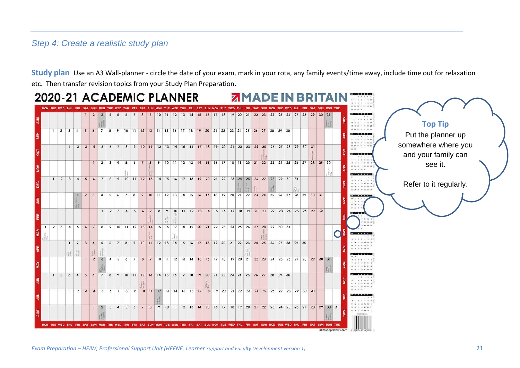**Study plan** Use an A3 Wall-planner - circle the date of your exam, mark in your rota, any family events/time away, include time out for relaxation etc. Then transfer revision topics from your Study Plan Preparation.

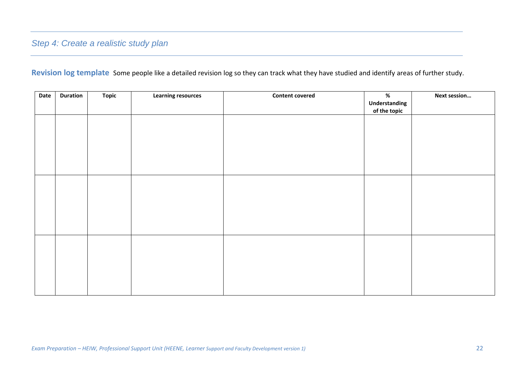**Revision log template** Some people like a detailed revision log so they can track what they have studied and identify areas of further study.

| Date | <b>Duration</b> | <b>Topic</b> | <b>Learning resources</b> | <b>Content covered</b> | %<br>Understanding | Next session |
|------|-----------------|--------------|---------------------------|------------------------|--------------------|--------------|
|      |                 |              |                           |                        | of the topic       |              |
|      |                 |              |                           |                        |                    |              |
|      |                 |              |                           |                        |                    |              |
|      |                 |              |                           |                        |                    |              |
|      |                 |              |                           |                        |                    |              |
|      |                 |              |                           |                        |                    |              |
|      |                 |              |                           |                        |                    |              |
|      |                 |              |                           |                        |                    |              |
|      |                 |              |                           |                        |                    |              |
|      |                 |              |                           |                        |                    |              |
|      |                 |              |                           |                        |                    |              |
|      |                 |              |                           |                        |                    |              |
|      |                 |              |                           |                        |                    |              |
|      |                 |              |                           |                        |                    |              |
|      |                 |              |                           |                        |                    |              |
|      |                 |              |                           |                        |                    |              |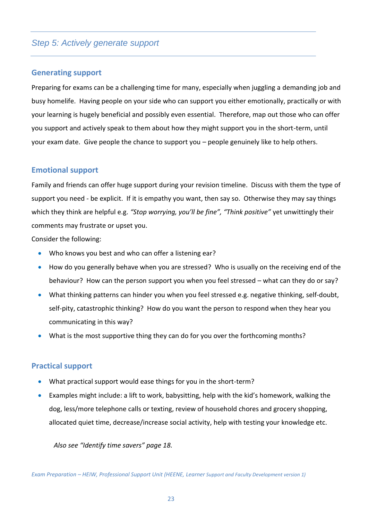## **Generating support**

Preparing for exams can be a challenging time for many, especially when juggling a demanding job and busy homelife. Having people on your side who can support you either emotionally, practically or with your learning is hugely beneficial and possibly even essential. Therefore, map out those who can offer you support and actively speak to them about how they might support you in the short-term, until your exam date. Give people the chance to support you – people genuinely like to help others.

#### **Emotional support**

Family and friends can offer huge support during your revision timeline. Discuss with them the type of support you need - be explicit. If it is empathy you want, then say so. Otherwise they may say things which they think are helpful e.g. *"Stop worrying, you'll be fine", "Think positive"* yet unwittingly their comments may frustrate or upset you.

Consider the following:

- Who knows you best and who can offer a listening ear?
- How do you generally behave when you are stressed? Who is usually on the receiving end of the behaviour? How can the person support you when you feel stressed – what can they do or say?
- What thinking patterns can hinder you when you feel stressed e.g. negative thinking, self-doubt, self-pity, catastrophic thinking? How do you want the person to respond when they hear you communicating in this way?
- What is the most supportive thing they can do for you over the forthcoming months?

#### **Practical support**

- What practical support would ease things for you in the short-term?
- Examples might include: a lift to work, babysitting, help with the kid's homework, walking the dog, less/more telephone calls or texting, review of household chores and grocery shopping, allocated quiet time, decrease/increase social activity, help with testing your knowledge etc.

*Also see "Identify time savers" page 18.*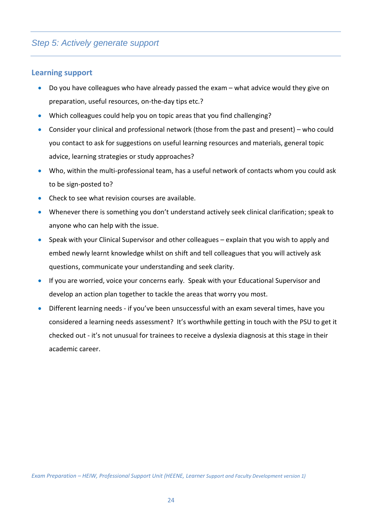#### **Learning support**

- Do you have colleagues who have already passed the exam what advice would they give on preparation, useful resources, on-the-day tips etc.?
- Which colleagues could help you on topic areas that you find challenging?
- Consider your clinical and professional network (those from the past and present) who could you contact to ask for suggestions on useful learning resources and materials, general topic advice, learning strategies or study approaches?
- Who, within the multi-professional team, has a useful network of contacts whom you could ask to be sign-posted to?
- Check to see what revision courses are available.
- Whenever there is something you don't understand actively seek clinical clarification; speak to anyone who can help with the issue.
- Speak with your Clinical Supervisor and other colleagues explain that you wish to apply and embed newly learnt knowledge whilst on shift and tell colleagues that you will actively ask questions, communicate your understanding and seek clarity.
- If you are worried, voice your concerns early. Speak with your Educational Supervisor and develop an action plan together to tackle the areas that worry you most.
- Different learning needs if you've been unsuccessful with an exam several times, have you considered a learning needs assessment? It's worthwhile getting in touch with the PSU to get it checked out - it's not unusual for trainees to receive a dyslexia diagnosis at this stage in their academic career.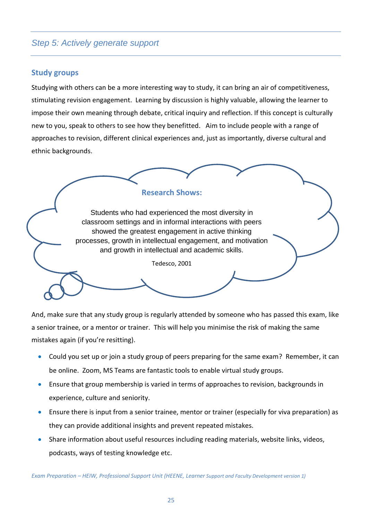# **Study groups**

Studying with others can be a more interesting way to study, it can bring an air of competitiveness, stimulating revision engagement. Learning by discussion is highly valuable, allowing the learner to impose their own meaning through debate, critical inquiry and reflection. If this concept is culturally new to you, speak to others to see how they benefitted. Aim to include people with a range of approaches to revision, different clinical experiences and, just as importantly, diverse cultural and ethnic backgrounds.



And, make sure that any study group is regularly attended by someone who has passed this exam, like a senior trainee, or a mentor or trainer. This will help you minimise the risk of making the same mistakes again (if you're resitting).

- Could you set up or join a study group of peers preparing for the same exam? Remember, it can be online. Zoom, MS Teams are fantastic tools to enable virtual study groups.
- Ensure that group membership is varied in terms of approaches to revision, backgrounds in experience, culture and seniority.
- Ensure there is input from a senior trainee, mentor or trainer (especially for viva preparation) as they can provide additional insights and prevent repeated mistakes.
- Share information about useful resources including reading materials, website links, videos, podcasts, ways of testing knowledge etc.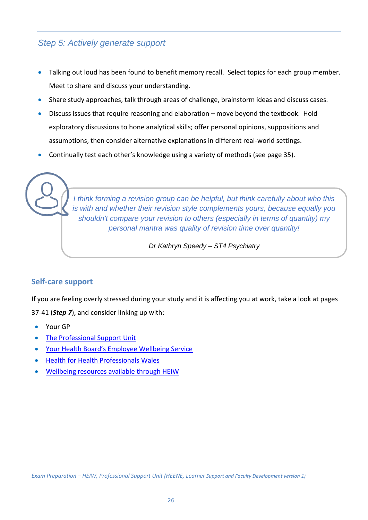- Talking out loud has been found to benefit memory recall. Select topics for each group member. Meet to share and discuss your understanding.
- Share study approaches, talk through areas of challenge, brainstorm ideas and discuss cases.
- Discuss issues that require reasoning and elaboration move beyond the textbook. Hold exploratory discussions to hone analytical skills; offer personal opinions, suppositions and assumptions, then consider alternative explanations in different real-world settings.
- Continually test each other's knowledge using a variety of methods (see page 35).

*I think forming a revision group can be helpful, but think carefully about who this is with and whether their revision style complements yours, because equally you shouldn't compare your revision to others (especially in terms of quantity) my personal mantra was quality of revision time over quantity!* 

*Dr Kathryn Speedy – ST4 Psychiatry*

# **Self-care support**

If you are feeling overly stressed during your study and it is affecting you at work, take a look at pages 37-41 (*Step 7*), and consider linking up with:

- Your GP
- [The Professional Support Unit](https://psu.walesdeanery.org/)
- [Your Health Board's Employee Wellbeing Service](https://heiw.nhs.wales/covid-19/health-and-wellbeing-resources/wellbeing-sites-and-resources-from-health-boards-trusts-and-organisations-across-nhs-wales-and-social-care-wales/)
- [Health for Health Professionals](https://www.hhpwales.co.uk/) Wales
- [Wellbeing resources available through HEIW](https://weds.heiw.wales/sections/workforce-transformation-planning-and-information/staff-health-and-wellbeing/)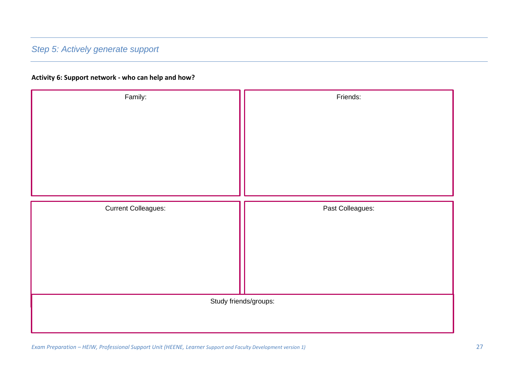#### **Activity 6: Support network - who can help and how?**

| Family:                    | Friends:                                  |
|----------------------------|-------------------------------------------|
| <b>Current Colleagues:</b> | Past Colleagues:<br>Study friends/groups: |
|                            |                                           |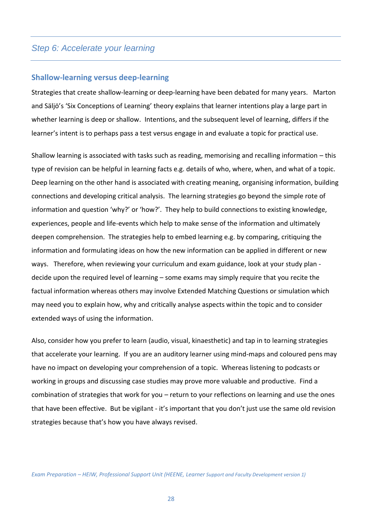#### **Shallow-learning versus deep-learning**

Strategies that create shallow-learning or deep-learning have been debated for many years. Marton and Säljö's 'Six Conceptions of Learning' theory explains that learner intentions play a large part in whether learning is deep or shallow. Intentions, and the subsequent level of learning, differs if the learner's intent is to perhaps pass a test versus engage in and evaluate a topic for practical use.

Shallow learning is associated with tasks such as reading, memorising and recalling information – this type of revision can be helpful in learning facts e.g. details of who, where, when, and what of a topic. Deep learning on the other hand is associated with creating meaning, organising information, building connections and developing critical analysis. The learning strategies go beyond the simple rote of information and question 'why?' or 'how?'. They help to build connections to existing knowledge, experiences, people and life-events which help to make sense of the information and ultimately deepen comprehension. The strategies help to embed learning e.g. by comparing, critiquing the information and formulating ideas on how the new information can be applied in different or new ways. Therefore, when reviewing your curriculum and exam guidance, look at your study plan decide upon the required level of learning – some exams may simply require that you recite the factual information whereas others may involve Extended Matching Questions or simulation which may need you to explain how, why and critically analyse aspects within the topic and to consider extended ways of using the information.

Also, consider how you prefer to learn (audio, visual, kinaesthetic) and tap in to learning strategies that accelerate your learning. If you are an auditory learner using mind-maps and coloured pens may have no impact on developing your comprehension of a topic. Whereas listening to podcasts or working in groups and discussing case studies may prove more valuable and productive. Find a combination of strategies that work for you – return to your reflections on learning and use the ones that have been effective. But be vigilant - it's important that you don't just use the same old revision strategies because that's how you have always revised.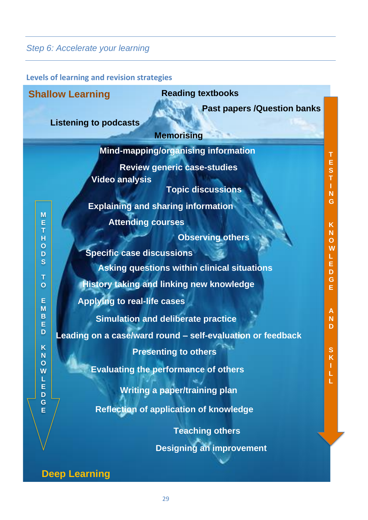**Levels of learning and revision strategies**

|                            | <b>Reading textbooks</b><br><b>Shallow Learning</b>                                                                                  |                                  |
|----------------------------|--------------------------------------------------------------------------------------------------------------------------------------|----------------------------------|
|                            | <b>Past papers /Question banks</b><br><b>Listening to podcasts</b><br><b>Memorising</b>                                              |                                  |
|                            | Mind-mapping/organising information                                                                                                  | т                                |
| M                          | <b>Review generic case-studies</b><br><b>Video analysis</b><br><b>Topic discussions</b><br><b>Explaining and sharing information</b> | E<br>S<br>T<br>$\mathsf{N}$<br>G |
| E<br>T                     | <b>Attending courses</b>                                                                                                             | $\mathsf K$<br>${\bf N}$         |
| H<br>$\mathbf O$<br>D<br>S | <b>Observing others</b><br><b>Specific case discussions</b>                                                                          | $\mathbf 0$<br>W<br>E            |
| T                          | <b>Asking questions within clinical situations</b>                                                                                   | D                                |
| $\overline{O}$             | <b>History taking and linking new knowledge</b>                                                                                      | G<br>E.                          |
| E<br>M                     | <b>Applying to real-life cases</b>                                                                                                   |                                  |
| B<br>E<br>D                | <b>Simulation and deliberate practice</b><br>Leading on a case/ward round - self-evaluation or feedback                              | A<br>$\mathbf N$<br>D            |
| K                          | <b>Presenting to others</b>                                                                                                          | S                                |
| N<br>W<br>L                | <b>Evaluating the performance of others</b>                                                                                          | K<br>Ĺ                           |
| E<br>D                     | <b>Writing a paper/training plan</b>                                                                                                 |                                  |
| G<br>E                     | <b>Reflection of application of knowledge</b>                                                                                        |                                  |
|                            | <b>Teaching others</b>                                                                                                               |                                  |
|                            | <b>Designing an improvement</b>                                                                                                      |                                  |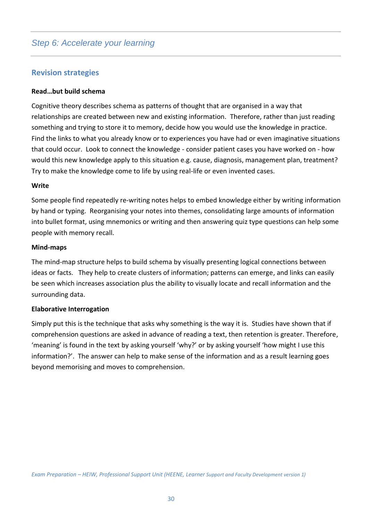# **Revision strategies**

#### **Read…but build schema**

Cognitive theory describes schema as patterns of thought that are organised in a way that relationships are created between new and existing information. Therefore, rather than just reading something and trying to store it to memory, decide how you would use the knowledge in practice. Find the links to what you already know or to experiences you have had or even imaginative situations that could occur. Look to connect the knowledge - consider patient cases you have worked on - how would this new knowledge apply to this situation e.g. cause, diagnosis, management plan, treatment? Try to make the knowledge come to life by using real-life or even invented cases.

#### **Write**

Some people find repeatedly re-writing notes helps to embed knowledge either by writing information by hand or typing. Reorganising your notes into themes, consolidating large amounts of information into bullet format, using mnemonics or writing and then answering quiz type questions can help some people with memory recall.

#### **Mind-maps**

The mind-map structure helps to build schema by visually presenting logical connections between ideas or facts. They help to create clusters of information; patterns can emerge, and links can easily be seen which increases association plus the ability to visually locate and recall information and the surrounding data.

#### **Elaborative Interrogation**

Simply put this is the technique that asks why something is the way it is. Studies have shown that if comprehension questions are asked in advance of reading a text, then retention is greater. Therefore, 'meaning' is found in the text by asking yourself 'why?' or by asking yourself 'how might I use this information?'. The answer can help to make sense of the information and as a result learning goes beyond memorising and moves to comprehension.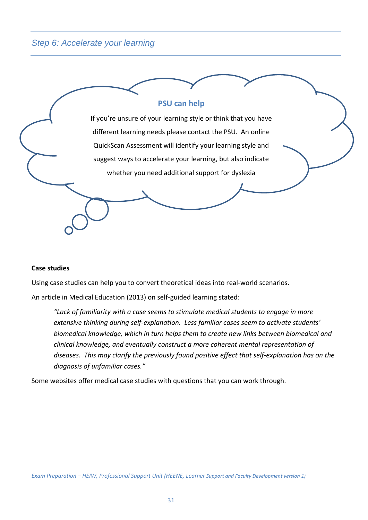

#### **Case studies**

Using case studies can help you to convert theoretical ideas into real-world scenarios.

An article in Medical Education (2013) on self-guided learning stated:

*"Lack of familiarity with a case seems to stimulate medical students to engage in more extensive thinking during self-explanation. Less familiar cases seem to activate students' biomedical knowledge, which in turn helps them to create new links between biomedical and clinical knowledge, and eventually construct a more coherent mental representation of diseases. This may clarify the previously found positive effect that self-explanation has on the diagnosis of unfamiliar cases."*

Some websites offer medical case studies with questions that you can work through.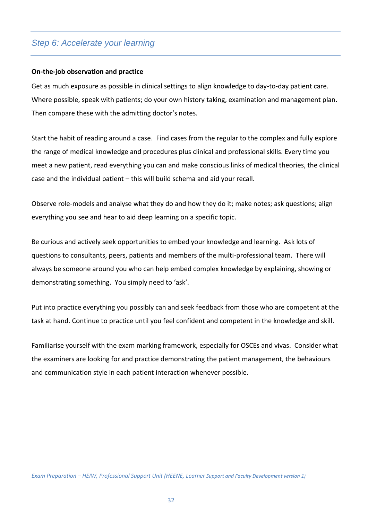#### **On-the-job observation and practice**

Get as much exposure as possible in clinical settings to align knowledge to day-to-day patient care. Where possible, speak with patients; do your own history taking, examination and management plan. Then compare these with the admitting doctor's notes.

Start the habit of reading around a case. Find cases from the regular to the complex and fully explore the range of medical knowledge and procedures plus clinical and professional skills. Every time you meet a new patient, read everything you can and make conscious links of medical theories, the clinical case and the individual patient – this will build schema and aid your recall.

Observe role-models and analyse what they do and how they do it; make notes; ask questions; align everything you see and hear to aid deep learning on a specific topic.

Be curious and actively seek opportunities to embed your knowledge and learning. Ask lots of questions to consultants, peers, patients and members of the multi-professional team. There will always be someone around you who can help embed complex knowledge by explaining, showing or demonstrating something. You simply need to 'ask'.

Put into practice everything you possibly can and seek feedback from those who are competent at the task at hand. Continue to practice until you feel confident and competent in the knowledge and skill.

Familiarise yourself with the exam marking framework, especially for OSCEs and vivas. Consider what the examiners are looking for and practice demonstrating the patient management, the behaviours and communication style in each patient interaction whenever possible.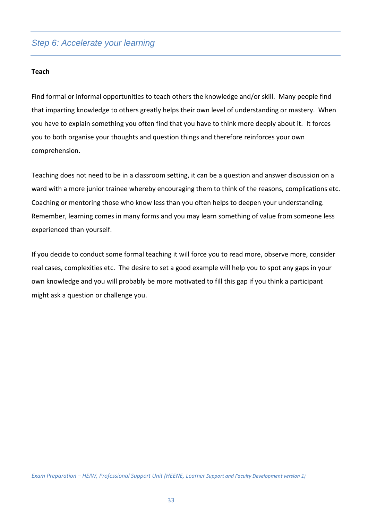#### **Teach**

Find formal or informal opportunities to teach others the knowledge and/or skill. Many people find that imparting knowledge to others greatly helps their own level of understanding or mastery. When you have to explain something you often find that you have to think more deeply about it. It forces you to both organise your thoughts and question things and therefore reinforces your own comprehension.

Teaching does not need to be in a classroom setting, it can be a question and answer discussion on a ward with a more junior trainee whereby encouraging them to think of the reasons, complications etc. Coaching or mentoring those who know less than you often helps to deepen your understanding. Remember, learning comes in many forms and you may learn something of value from someone less experienced than yourself.

If you decide to conduct some formal teaching it will force you to read more, observe more, consider real cases, complexities etc. The desire to set a good example will help you to spot any gaps in your own knowledge and you will probably be more motivated to fill this gap if you think a participant might ask a question or challenge you.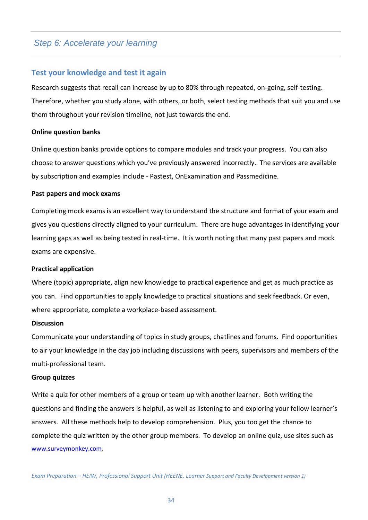#### **Test your knowledge and test it again**

Research suggests that recall can increase by up to 80% through repeated, on-going, self-testing. Therefore, whether you study alone, with others, or both, select testing methods that suit you and use them throughout your revision timeline, not just towards the end.

#### **Online question banks**

Online question banks provide options to compare modules and track your progress. You can also choose to answer questions which you've previously answered incorrectly. The services are available by subscription and examples include - Pastest, OnExamination and Passmedicine.

#### **Past papers and mock exams**

Completing mock exams is an excellent way to understand the structure and format of your exam and gives you questions directly aligned to your curriculum. There are huge advantages in identifying your learning gaps as well as being tested in real-time. It is worth noting that many past papers and mock exams are expensive.

#### **Practical application**

Where (topic) appropriate, align new knowledge to practical experience and get as much practice as you can. Find opportunities to apply knowledge to practical situations and seek feedback. Or even, where appropriate, complete a workplace-based assessment.

#### **Discussion**

Communicate your understanding of topics in study groups, chatlines and forums. Find opportunities to air your knowledge in the day job including discussions with peers, supervisors and members of the multi-professional team.

#### **Group quizzes**

Write a quiz for other members of a group or team up with another learner. Both writing the questions and finding the answers is helpful, as well as listening to and exploring your fellow learner's answers. All these methods help to develop comprehension. Plus, you too get the chance to complete the quiz written by the other group members. To develop an online quiz, use sites such as [www.surveymonkey.com](http://www.surveymonkey.com/)*.*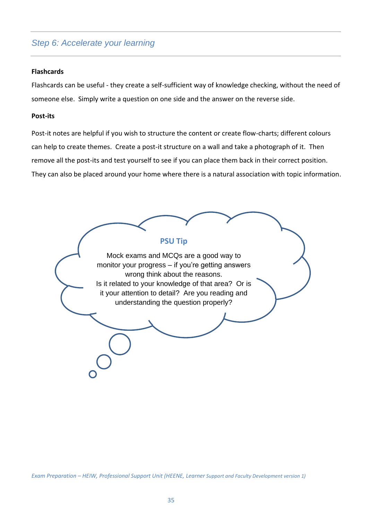#### **Flashcards**

Flashcards can be useful - they create a self-sufficient way of knowledge checking, without the need of someone else. Simply write a question on one side and the answer on the reverse side.

#### **Post-its**

Post-it notes are helpful if you wish to structure the content or create flow-charts; different colours can help to create themes. Create a post-it structure on a wall and take a photograph of it. Then remove all the post-its and test yourself to see if you can place them back in their correct position. They can also be placed around your home where there is a natural association with topic information.

**PSU Tip** Mock exams and MCQs are a good way to monitor your progress – if you're getting answers wrong think about the reasons. Is it related to your knowledge of that area? Or is it your attention to detail? Are you reading and understanding the question properly?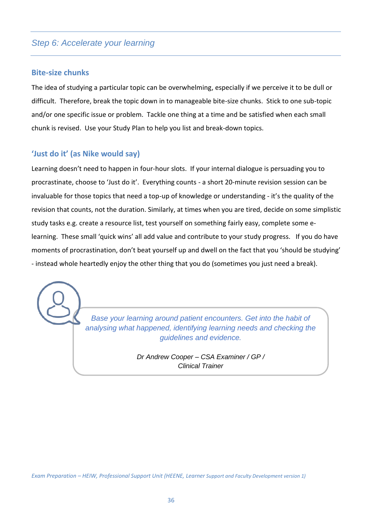## **Bite-size chunks**

The idea of studying a particular topic can be overwhelming, especially if we perceive it to be dull or difficult. Therefore, break the topic down in to manageable bite-size chunks. Stick to one sub-topic and/or one specific issue or problem. Tackle one thing at a time and be satisfied when each small chunk is revised. Use your Study Plan to help you list and break-down topics.

# **'Just do it' (as Nike would say)**

Learning doesn't need to happen in four-hour slots. If your internal dialogue is persuading you to procrastinate, choose to 'Just do it'. Everything counts - a short 20-minute revision session can be invaluable for those topics that need a top-up of knowledge or understanding - it's the quality of the revision that counts, not the duration. Similarly, at times when you are tired, decide on some simplistic study tasks e.g. create a resource list, test yourself on something fairly easy, complete some elearning. These small 'quick wins' all add value and contribute to your study progress. If you do have moments of procrastination, don't beat yourself up and dwell on the fact that you 'should be studying' - instead whole heartedly enjoy the other thing that you do (sometimes you just need a break).

> *Base your learning around patient encounters. Get into the habit of analysing what happened, identifying learning needs and checking the guidelines and evidence.*

> > *Dr Andrew Cooper – CSA Examiner / GP / Clinical Trainer*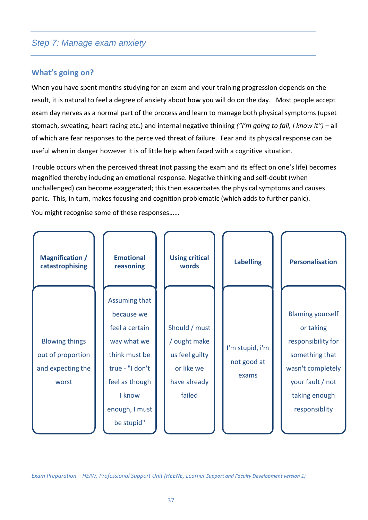# **What's going on?**

When you have spent months studying for an exam and your training progression depends on the result, it is natural to feel a degree of anxiety about how you will do on the day. Most people accept exam day nerves as a normal part of the process and learn to manage both physical symptoms (upset stomach, sweating, heart racing etc.) and internal negative thinking *("I'm going to fail, I know it") –* all of which are fear responses to the perceived threat of failure. Fear and its physical response can be useful when in danger however it is of little help when faced with a cognitive situation.

Trouble occurs when the perceived threat (not passing the exam and its effect on one's life) becomes magnified thereby inducing an emotional response. Negative thinking and self-doubt (when unchallenged) can become exaggerated; this then exacerbates the physical symptoms and causes panic. This, in turn, makes focusing and cognition problematic (which adds to further panic).

You might recognise some of these responses……

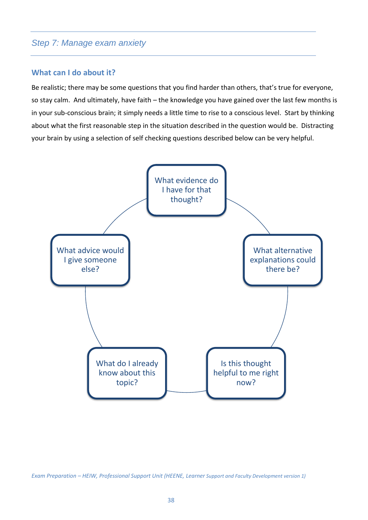#### **What can I do about it?**

Be realistic; there may be some questions that you find harder than others, that's true for everyone, so stay calm. And ultimately, have faith – the knowledge you have gained over the last few months is in your sub-conscious brain; it simply needs a little time to rise to a conscious level. Start by thinking about what the first reasonable step in the situation described in the question would be. Distracting your brain by using a selection of self checking questions described below can be very helpful.

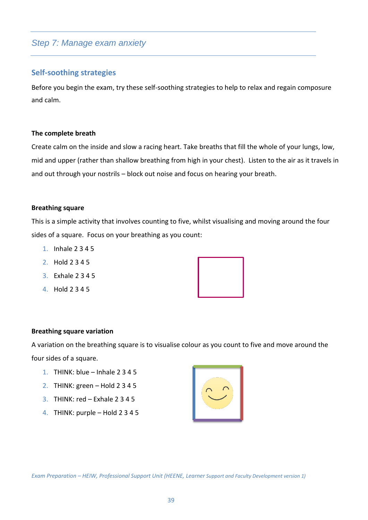## **Self-soothing strategies**

Before you begin the exam, try these self-soothing strategies to help to relax and regain composure and calm.

#### **The complete breath**

Create calm on the inside and slow a racing heart. Take breaths that fill the whole of your lungs, low, mid and upper (rather than shallow breathing from high in your chest). Listen to the air as it travels in and out through your nostrils – block out noise and focus on hearing your breath.

#### **Breathing square**

This is a simple activity that involves counting to five, whilst visualising and moving around the four sides of a square. Focus on your breathing as you count:

- 1. Inhale 2 3 4 5
- 2. Hold 2 3 4 5
- 3. Exhale 2 3 4 5
- 4. Hold 2 3 4 5



#### **Breathing square variation**

A variation on the breathing square is to visualise colour as you count to five and move around the four sides of a square.

- 1. THINK: blue Inhale 2 3 4 5
- 2. THINK: green Hold 2 3 4 5
- 3. THINK: red Exhale 2 3 4 5
- 4. THINK: purple Hold 2 3 4 5

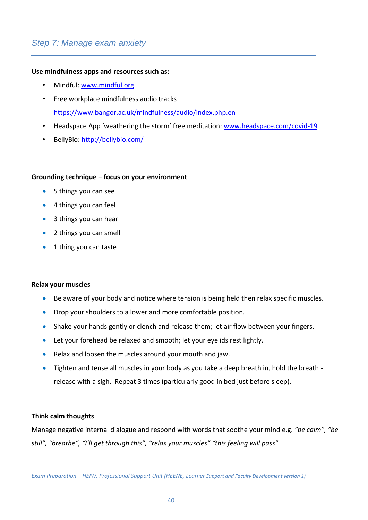#### **Use mindfulness apps and resources such as:**

- Mindful: [www.mindful.org](http://www.mindful.org/)
- Free workplace mindfulness audio tracks <https://www.bangor.ac.uk/mindfulness/audio/index.php.en>
- Headspace App 'weathering the storm' free meditation: [www.headspace.com/covid-19](http://www.headspace.com/covid-19)
- BellyBio:<http://bellybio.com/>

#### **Grounding technique – focus on your environment**

- 5 things you can see
- 4 things you can feel
- 3 things you can hear
- 2 things you can smell
- 1 thing you can taste

#### **Relax your muscles**

- Be aware of your body and notice where tension is being held then relax specific muscles.
- Drop your shoulders to a lower and more comfortable position.
- Shake your hands gently or clench and release them; let air flow between your fingers.
- Let your forehead be relaxed and smooth; let your eyelids rest lightly.
- Relax and loosen the muscles around your mouth and jaw.
- Tighten and tense all muscles in your body as you take a deep breath in, hold the breath release with a sigh. Repeat 3 times (particularly good in bed just before sleep).

#### **Think calm thoughts**

Manage negative internal dialogue and respond with words that soothe your mind e.g. *"be calm", "be still", "breathe", "I'll get through this", "relax your muscles" "this feeling will pass".*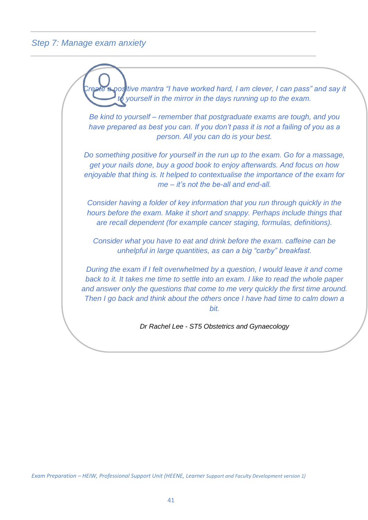*Create a positive mantra "I have worked hard, I am clever, I can pass" and say it vourself in the mirror in the days running up to the exam. Be kind to yourself – remember that postgraduate exams are tough, and you have prepared as best you can. If you don't pass it is not a failing of you as a person. All you can do is your best. Do something positive for yourself in the run up to the exam. Go for a massage, get your nails done, buy a good book to enjoy afterwards. And focus on how enjoyable that thing is. It helped to contextualise the importance of the exam for me – it's not the be-all and end-all. Consider having a folder of key information that you run through quickly in the hours before the exam. Make it short and snappy. Perhaps include things that are recall dependent (for example cancer staging, formulas, definitions). Consider what you have to eat and drink before the exam. caffeine can be unhelpful in large quantities, as can a big "carby" breakfast. During the exam if I felt overwhelmed by a question, I would leave it and come back to it. It takes me time to settle into an exam. I like to read the whole paper and answer only the questions that come to me very quickly the first time around. Then I go back and think about the others once I have had time to calm down a bit. Dr Rachel Lee - ST5 Obstetrics and Gynaecology*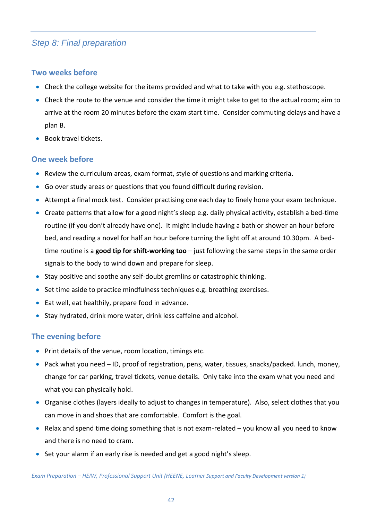# *Step 8: Final preparation*

# **Two weeks before**

- Check the college website for the items provided and what to take with you e.g. stethoscope.
- Check the route to the venue and consider the time it might take to get to the actual room; aim to arrive at the room 20 minutes before the exam start time. Consider commuting delays and have a plan B.
- Book travel tickets.

## **One week before**

- Review the curriculum areas, exam format, style of questions and marking criteria.
- Go over study areas or questions that you found difficult during revision.
- Attempt a final mock test. Consider practising one each day to finely hone your exam technique.
- Create patterns that allow for a good night's sleep e.g. daily physical activity, establish a bed-time routine (if you don't already have one). It might include having a bath or shower an hour before bed, and reading a novel for half an hour before turning the light off at around 10.30pm. A bedtime routine is a **good tip for shift-working too** – just following the same steps in the same order signals to the body to wind down and prepare for sleep.
- Stay positive and soothe any self-doubt gremlins or catastrophic thinking.
- Set time aside to practice mindfulness techniques e.g. breathing exercises.
- Eat well, eat healthily, prepare food in advance.
- Stay hydrated, drink more water, drink less caffeine and alcohol.

## **The evening before**

- Print details of the venue, room location, timings etc.
- Pack what you need ID, proof of registration, pens, water, tissues, snacks/packed. lunch, money, change for car parking, travel tickets, venue details. Only take into the exam what you need and what you can physically hold.
- Organise clothes (layers ideally to adjust to changes in temperature). Also, select clothes that you can move in and shoes that are comfortable. Comfort is the goal.
- Relax and spend time doing something that is not exam-related you know all you need to know and there is no need to cram.
- Set your alarm if an early rise is needed and get a good night's sleep.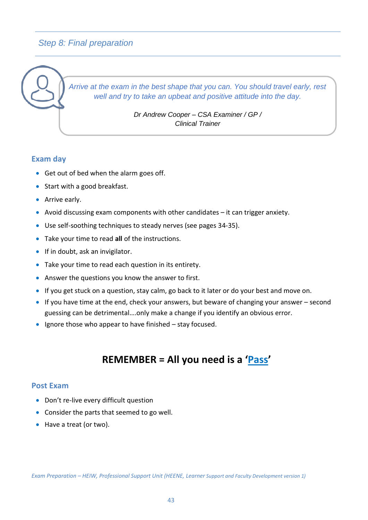# *Step 8: Final preparation*

*Arrive at the exam in the best shape that you can. You should travel early, rest well and try to take an upbeat and positive attitude into the day.* 

> *Dr Andrew Cooper – CSA Examiner / GP / Clinical Trainer*

# **Exam day**

- Get out of bed when the alarm goes off.
- Start with a good breakfast.
- Arrive early.
- Avoid discussing exam components with other candidates it can trigger anxiety.
- Use self-soothing techniques to steady nerves (see pages 34-35).
- Take your time to read **all** of the instructions.
- If in doubt, ask an invigilator.
- Take your time to read each question in its entirety.
- Answer the questions you know the answer to first.
- If you get stuck on a question, stay calm, go back to it later or do your best and move on.
- If you have time at the end, check your answers, but beware of changing your answer second guessing can be detrimental….only make a change if you identify an obvious error.
- Ignore those who appear to have finished stay focused.

# **REMEMBER = All you need is a 'Pass'**

## **Post Exam**

- Don't re-live every difficult question
- Consider the parts that seemed to go well.
- Have a treat (or two).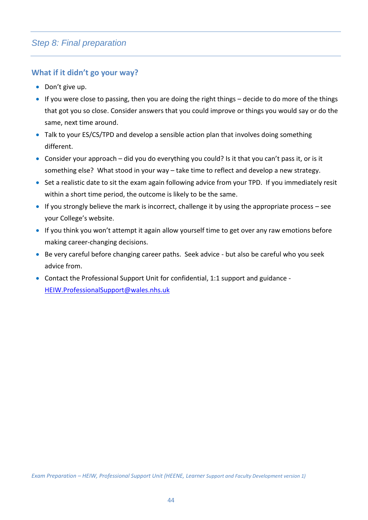# **What if it didn't go your way?**

- Don't give up.
- If you were close to passing, then you are doing the right things decide to do more of the things that got you so close. Consider answers that you could improve or things you would say or do the same, next time around.
- Talk to your ES/CS/TPD and develop a sensible action plan that involves doing something different.
- Consider your approach did you do everything you could? Is it that you can't pass it, or is it something else? What stood in your way – take time to reflect and develop a new strategy.
- Set a realistic date to sit the exam again following advice from your TPD. If you immediately resit within a short time period, the outcome is likely to be the same.
- $\bullet$  If you strongly believe the mark is incorrect, challenge it by using the appropriate process see your College's website.
- If you think you won't attempt it again allow yourself time to get over any raw emotions before making career-changing decisions.
- Be very careful before changing career paths. Seek advice but also be careful who you seek advice from.
- Contact the Professional Support Unit for confidential, 1:1 support and guidance [HEIW.ProfessionalSupport@wales.nhs.uk](mailto:HEIW.ProfessionalSupport@wales.nhs.uk)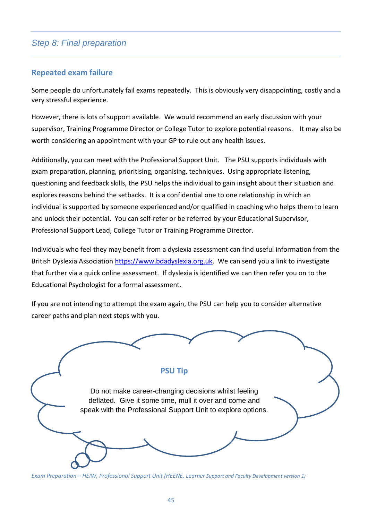# *Step 8: Final preparation*

# **Repeated exam failure**

Some people do unfortunately fail exams repeatedly. This is obviously very disappointing, costly and a very stressful experience.

However, there is lots of support available. We would recommend an early discussion with your supervisor, Training Programme Director or College Tutor to explore potential reasons. It may also be worth considering an appointment with your GP to rule out any health issues.

Additionally, you can meet with the Professional Support Unit. The PSU supports individuals with exam preparation, planning, prioritising, organising, techniques. Using appropriate listening, questioning and feedback skills, the PSU helps the individual to gain insight about their situation and explores reasons behind the setbacks. It is a confidential one to one relationship in which an individual is supported by someone experienced and/or qualified in coaching who helps them to learn and unlock their potential. You can self-refer or be referred by your Educational Supervisor, Professional Support Lead, College Tutor or Training Programme Director.

Individuals who feel they may benefit from a dyslexia assessment can find useful information from the British Dyslexia Association [https://www.bdadyslexia.org.uk.](https://www.bdadyslexia.org.uk/) We can send you a link to investigate that further via a quick online assessment. If dyslexia is identified we can then refer you on to the Educational Psychologist for a formal assessment.

If you are not intending to attempt the exam again, the PSU can help you to consider alternative career paths and plan next steps with you.

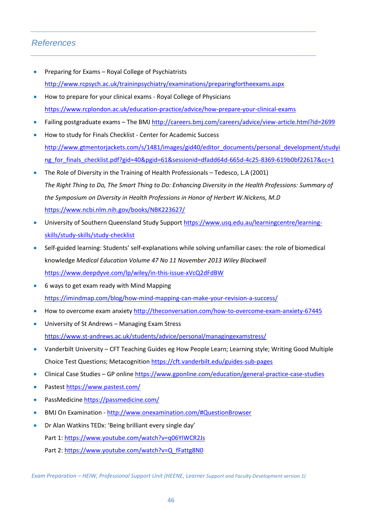# *References*

- Preparing for Exams Royal College of Psychiatrists <http://www.rcpsych.ac.uk/traininpsychiatry/examinations/preparingfortheexams.aspx>
- How to prepare for your clinical exams Royal College of Physicians <https://www.rcplondon.ac.uk/education-practice/advice/how-prepare-your-clinical-exams>
- Failing postgraduate exams The BMJ <http://careers.bmj.com/careers/advice/view-article.html?id=2699>
- How to study for Finals Checklist Center for Academic Success [http://www.gtmentorjackets.com/s/1481/images/gid40/editor\\_documents/personal\\_development/studyi](http://www.gtmentorjackets.com/s/1481/images/gid40/editor_documents/personal_development/studying_for_finals_checklist.pdf?gid=40&pgid=61&sessionid=dfadd64d-665d-4c25-8369-619b0bf22617&cc=1) ng for finals\_checklist.pdf?gid=40&pgid=61&sessionid=dfadd64d-665d-4c25-8369-619b0bf22617&cc=1
- The Role of Diversity in the Training of Health Professionals Tedesco, L.A (2001) *The Right Thing to Do, The Smart Thing to Do: Enhancing Diversity in the Health Professions: Summary of the Symposium on Diversity in Health Professions in Honor of Herbert W.Nickens, M.D* <https://www.ncbi.nlm.nih.gov/books/NBK223627/>
- University of Southern Queensland Study Support [https://www.usq.edu.au/learningcentre/learning](https://www.usq.edu.au/learningcentre/learning-skills/study-skills/study-checklist)[skills/study-skills/study-checklist](https://www.usq.edu.au/learningcentre/learning-skills/study-skills/study-checklist)
- Self-guided learning: Students' self-explanations while solving unfamiliar cases: the role of biomedical knowledge *Medical Education Volume 47 No 11 November 2013 Wiley Blackwell* <https://www.deepdyve.com/lp/wiley/in-this-issue-xVcQ2dFdBW>
- 6 ways to get exam ready with Mind Mapping <https://imindmap.com/blog/how-mind-mapping-can-make-your-revision-a-success/>
- How to overcome exam anxiety <http://theconversation.com/how-to-overcome-exam-anxiety-67445>
- University of St Andrews Managing Exam Stress <https://www.st-andrews.ac.uk/students/advice/personal/managingexamstress/>
- Vanderbilt University CFT Teaching Guides eg How People Learn; Learning style; Writing Good Multiple Choice Test Questions; Metacognition<https://cft.vanderbilt.edu/guides-sub-pages>
- Clinical Case Studies GP onlin[e https://www.gponline.com/education/general-practice-case-studies](https://www.gponline.com/education/general-practice-case-studies)
- Pastest<https://www.pastest.com/>
- PassMedicine<https://passmedicine.com/>
- BMJ On Examination <http://www.onexamination.com/#QuestionBrowser>
- Dr Alan Watkins TEDx: 'Being brilliant every single day' Part 1:<https://www.youtube.com/watch?v=q06YIWCR2Js> Part 2: [https://www.youtube.com/watch?v=Q\\_fFattg8N0](https://www.youtube.com/watch?v=Q_fFattg8N0)